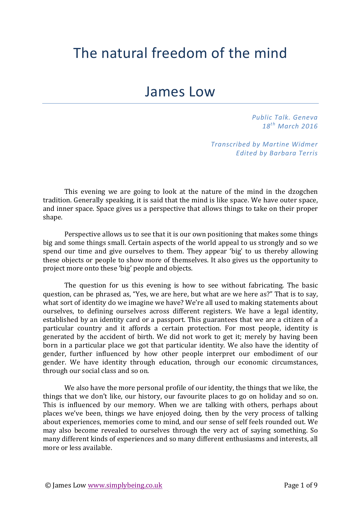## The natural freedom of the mind

## James Low

*Public Talk. Geneva 18th March 2016*

*Transcribed by Martine Widmer Edited by Barbara Terris*

This evening we are going to look at the nature of the mind in the dzogchen tradition. Generally speaking, it is said that the mind is like space. We have outer space, and inner space. Space gives us a perspective that allows things to take on their proper shape. 

Perspective allows us to see that it is our own positioning that makes some things big and some things small. Certain aspects of the world appeal to us strongly and so we spend our time and give ourselves to them. They appear 'big' to us thereby allowing these objects or people to show more of themselves. It also gives us the opportunity to project more onto these 'big' people and objects.

The question for us this evening is how to see without fabricating. The basic question, can be phrased as, "Yes, we are here, but what are we here as?" That is to say, what sort of identity do we imagine we have? We're all used to making statements about ourselves, to defining ourselves across different registers. We have a legal identity, established by an identity card or a passport. This guarantees that we are a citizen of a particular country and it affords a certain protection. For most people, identity is generated by the accident of birth. We did not work to get it; merely by having been born in a particular place we got that particular identity. We also have the identity of gender, further influenced by how other people interpret our embodiment of our gender. We have identity through education, through our economic circumstances, through our social class and so on.

We also have the more personal profile of our identity, the things that we like, the things that we don't like, our history, our favourite places to go on holiday and so on. This is influenced by our memory. When we are talking with others, perhaps about places we've been, things we have enjoyed doing, then by the very process of talking about experiences, memories come to mind, and our sense of self feels rounded out. We may also become revealed to ourselves through the very act of saying something. So many different kinds of experiences and so many different enthusiasms and interests, all more or less available.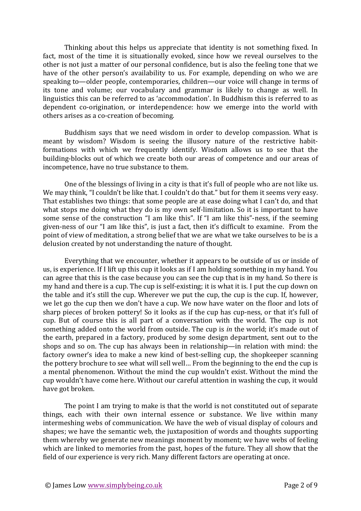Thinking about this helps us appreciate that identity is not something fixed. In fact, most of the time it is situationally evoked, since how we reveal ourselves to the other is not just a matter of our personal confidence, but is also the feeling tone that we have of the other person's availability to us. For example, depending on who we are speaking to—older people, contemporaries, children—our voice will change in terms of its tone and volume; our vocabulary and grammar is likely to change as well. In linguistics this can be referred to as 'accommodation'. In Buddhism this is referred to as dependent co-origination, or interdependence: how we emerge into the world with others arises as a co-creation of becoming.

Buddhism says that we need wisdom in order to develop compassion. What is meant by wisdom? Wisdom is seeing the illusory nature of the restrictive habitformations with which we frequently identify. Wisdom allows us to see that the building-blocks out of which we create both our areas of competence and our areas of incompetence, have no true substance to them.

One of the blessings of living in a city is that it's full of people who are not like us. We may think, "I couldn't be like that. I couldn't do that." but for them it seems very easy. That establishes two things: that some people are at ease doing what I can't do, and that what stops me doing what they do is my own self-limitation. So it is important to have some sense of the construction "I am like this". If "I am like this"-ness, if the seeming given-ness of our "I am like this", is just a fact, then it's difficult to examine. From the point of view of meditation, a strong belief that we are what we take ourselves to be is a delusion created by not understanding the nature of thought.

Everything that we encounter, whether it appears to be outside of us or inside of us, is experience. If I lift up this cup it looks as if I am holding something in my hand. You can agree that this is the case because you can see the cup that is in my hand. So there is my hand and there is a cup. The cup is self-existing; it is what it is. I put the cup down on the table and it's still the cup. Wherever we put the cup, the cup is the cup. If, however, we let go the cup then we don't have a cup. We now have water on the floor and lots of sharp pieces of broken pottery! So it looks as if the cup has cup-ness, or that it's full of cup. But of course this is all part of a conversation with the world. The cup is not something added onto the world from outside. The cup is *in* the world; it's made out of the earth, prepared in a factory, produced by some design department, sent out to the shops and so on. The cup has always been in relationship—in relation with mind: the factory owner's idea to make a new kind of best-selling cup, the shopkeeper scanning the pottery brochure to see what will sell well... From the beginning to the end the cup is a mental phenomenon. Without the mind the cup wouldn't exist. Without the mind the cup wouldn't have come here. Without our careful attention in washing the cup, it would have got broken.

The point I am trying to make is that the world is not constituted out of separate things, each with their own internal essence or substance. We live within many intermeshing webs of communication. We have the web of visual display of colours and shapes; we have the semantic web, the juxtaposition of words and thoughts supporting them whereby we generate new meanings moment by moment; we have webs of feeling which are linked to memories from the past, hopes of the future. They all show that the field of our experience is very rich. Many different factors are operating at once.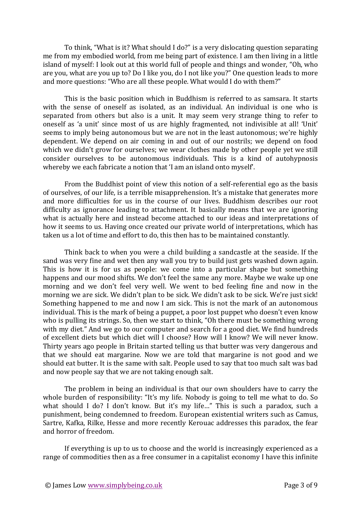To think, "What is it? What should I do?" is a very dislocating question separating me from my embodied world, from me being part of existence. I am then living in a little island of myself: I look out at this world full of people and things and wonder, "Oh, who are you, what are you up to? Do I like you, do I not like you?" One question leads to more and more questions: "Who are all these people. What would I do with them?"

This is the basic position which in Buddhism is referred to as samsara. It starts with the sense of oneself as isolated, as an individual. An individual is one who is separated from others but also is a unit. It may seem very strange thing to refer to oneself as 'a unit' since most of us are highly fragmented, not indivisible at all! 'Unit' seems to imply being autonomous but we are not in the least autonomous; we're highly dependent. We depend on air coming in and out of our nostrils; we depend on food which we didn't grow for ourselves; we wear clothes made by other people yet we still consider ourselves to be autonomous individuals. This is a kind of autohypnosis whereby we each fabricate a notion that 'I am an island onto myself'.

From the Buddhist point of view this notion of a self-referential ego as the basis of ourselves, of our life, is a terrible misapprehension. It's a mistake that generates more and more difficulties for us in the course of our lives. Buddhism describes our root difficulty as ignorance leading to attachment. It basically means that we are ignoring what is actually here and instead become attached to our ideas and interpretations of how it seems to us. Having once created our private world of interpretations, which has taken us a lot of time and effort to do, this then has to be maintained constantly.

Think back to when you were a child building a sandcastle at the seaside. If the sand was very fine and wet then any wall you try to build just gets washed down again. This is how it is for us as people: we come into a particular shape but something happens and our mood shifts. We don't feel the same any more. Maybe we wake up one morning and we don't feel very well. We went to bed feeling fine and now in the morning we are sick. We didn't plan to be sick. We didn't ask to be sick. We're just sick! Something happened to me and now I am sick. This is not the mark of an autonomous individual. This is the mark of being a puppet, a poor lost puppet who doesn't even know who is pulling its strings. So, then we start to think, "Oh there must be something wrong with my diet." And we go to our computer and search for a good diet. We find hundreds of excellent diets but which diet will I choose? How will I know? We will never know. Thirty years ago people in Britain started telling us that butter was very dangerous and that we should eat margarine. Now we are told that margarine is not good and we should eat butter. It is the same with salt. People used to say that too much salt was bad and now people say that we are not taking enough salt.

The problem in being an individual is that our own shoulders have to carry the whole burden of responsibility: "It's my life. Nobody is going to tell me what to do. So what should I do? I don't know. But it's my life..." This is such a paradox, such a punishment, being condemned to freedom. European existential writers such as Camus, Sartre, Kafka, Rilke, Hesse and more recently Kerouac addresses this paradox, the fear and horror of freedom.

If everything is up to us to choose and the world is increasingly experienced as a range of commodities then as a free consumer in a capitalist economy I have this infinite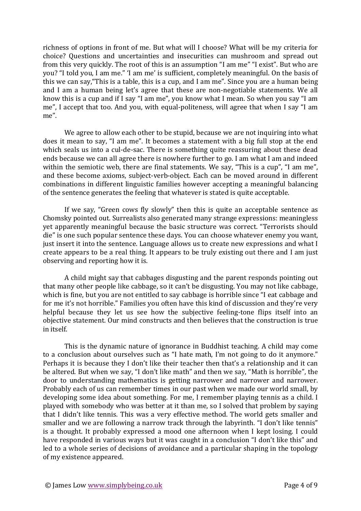richness of options in front of me. But what will I choose? What will be my criteria for choice? Questions and uncertainties and insecurities can mushroom and spread out from this very quickly. The root of this is an assumption "I am me" "I exist". But who are you? "I told you, I am me." 'I am me' is sufficient, completely meaningful. On the basis of this we can say, "This is a table, this is a cup, and I am me". Since you are a human being and I am a human being let's agree that these are non-negotiable statements. We all know this is a cup and if I say "I am me", you know what I mean. So when you say "I am me", I accept that too. And you, with equal-politeness, will agree that when I say "I am me". 

We agree to allow each other to be stupid, because we are not inquiring into what does it mean to say, "I am me". It becomes a statement with a big full stop at the end which seals us into a cul-de-sac. There is something quite reassuring about these dead ends because we can all agree there is nowhere further to go. I am what I am and indeed within the semiotic web, there are final statements. We say, "This is a cup", "I am me", and these become axioms, subject-verb-object. Each can be moved around in different combinations in different linguistic families however accepting a meaningful balancing of the sentence generates the feeling that whatever is stated is quite acceptable.

If we say, "Green cows fly slowly" then this is quite an acceptable sentence as Chomsky pointed out. Surrealists also generated many strange expressions: meaningless yet apparently meaningful because the basic structure was correct. "Terrorists should die" is one such popular sentence these days. You can choose whatever enemy you want, just insert it into the sentence. Language allows us to create new expressions and what I create appears to be a real thing. It appears to be truly existing out there and I am just observing and reporting how it is.

A child might say that cabbages disgusting and the parent responds pointing out that many other people like cabbage, so it can't be disgusting. You may not like cabbage, which is fine, but you are not entitled to say cabbage is horrible since "I eat cabbage and for me it's not horrible." Families you often have this kind of discussion and they're very helpful because they let us see how the subjective feeling-tone flips itself into an objective statement. Our mind constructs and then believes that the construction is true in itself. 

This is the dynamic nature of ignorance in Buddhist teaching. A child may come to a conclusion about ourselves such as "I hate math, I'm not going to do it anymore." Perhaps it is because they I don't like their teacher then that's a relationship and it can be altered. But when we say, "I don't like math" and then we say, "Math is horrible", the door to understanding mathematics is getting narrower and narrower and narrower. Probably each of us can remember times in our past when we made our world small, by developing some idea about something. For me, I remember playing tennis as a child. I played with somebody who was better at it than me, so I solved that problem by saying that I didn't like tennis. This was a very effective method. The world gets smaller and smaller and we are following a narrow track through the labyrinth. "I don't like tennis" is a thought. It probably expressed a mood one afternoon when I kept losing. I could have responded in various ways but it was caught in a conclusion "I don't like this" and led to a whole series of decisions of avoidance and a particular shaping in the topology of my existence appeared.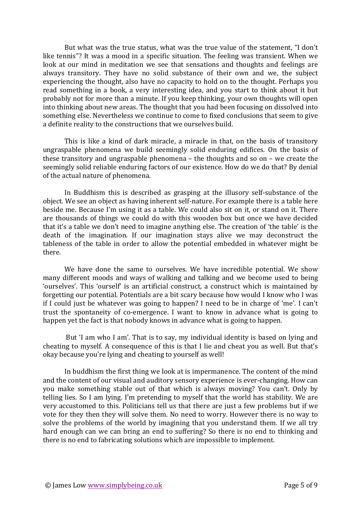But what was the true status, what was the true value of the statement, "I don't like tennis"? It was a mood in a specific situation. The feeling was transient. When we look at our mind in meditation we see that sensations and thoughts and feelings are always transitory. They have no solid substance of their own and we, the subject experiencing the thought, also have no capacity to hold on to the thought. Perhaps you read something in a book, a very interesting idea, and you start to think about it but probably not for more than a minute. If you keep thinking, your own thoughts will open into thinking about new areas. The thought that you had been focusing on dissolved into something else. Nevertheless we continue to come to fixed conclusions that seem to give a definite reality to the constructions that we ourselves build.

This is like a kind of dark miracle, a miracle in that, on the basis of transitory ungraspable phenomena we build seemingly solid enduring edifices. On the basis of these transitory and ungraspable phenomena  $-$  the thoughts and so on  $-$  we create the seemingly solid reliable enduring factors of our existence. How do we do that? By denial of the actual nature of phenomena.

In Buddhism this is described as grasping at the illusory self-substance of the object. We see an object as having inherent self-nature. For example there is a table here beside me. Because I'm using it as a table. We could also sit on it, or stand on it. There are thousands of things we could do with this wooden box but once we have decided that it's a table we don't need to imagine anything else. The creation of 'the table' is the death of the imagination. If our imagination stays alive we may deconstruct the tableness of the table in order to allow the potential embedded in whatever might be there. 

We have done the same to ourselves. We have incredible potential. We show many different moods and ways of walking and talking and we become used to being 'ourselves'. This 'ourself' is an artificial construct, a construct which is maintained by forgetting our potential. Potentials are a bit scary because how would I know who I was if I could just be whatever was going to happen? I need to be in charge of 'me'. I can't trust the spontaneity of co-emergence. I want to know in advance what is going to happen yet the fact is that nobody knows in advance what is going to happen.

But 'I am who I am'. That is to say, my individual identity is based on lying and cheating to myself. A consequence of this is that I lie and cheat you as well. But that's okay because you're lying and cheating to yourself as well!

In buddhism the first thing we look at is impermanence. The content of the mind and the content of our visual and auditory sensory experience is ever-changing. How can you make something stable out of that which is always moving? You can't. Only by telling lies. So I am lying. I'm pretending to myself that the world has stability. We are very accustomed to this. Politicians tell us that there are just a few problems but if we vote for they then they will solve them. No need to worry. However there is no way to solve the problems of the world by imagining that you understand them. If we all try hard enough can we can bring an end to suffering? So there is no end to thinking and there is no end to fabricating solutions which are impossible to implement.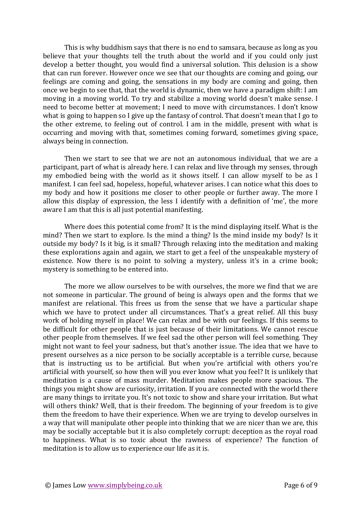This is why buddhism says that there is no end to samsara, because as long as you believe that your thoughts tell the truth about the world and if you could only just develop a better thought, you would find a universal solution. This delusion is a show that can run forever. However once we see that our thoughts are coming and going, our feelings are coming and going, the sensations in my body are coming and going, then once we begin to see that, that the world is dynamic, then we have a paradigm shift: I am moving in a moving world. To try and stabilize a moving world doesn't make sense. I need to become better at movement; I need to move with circumstances. I don't know what is going to happen so I give up the fantasy of control. That doesn't mean that I go to the other extreme, to feeling out of control. I am in the middle, present with what is occurring and moving with that, sometimes coming forward, sometimes giving space, always being in connection.

Then we start to see that we are not an autonomous individual, that we are a participant, part of what is already here. I can relax and live through my senses, through my embodied being with the world as it shows itself. I can allow myself to be as I manifest. I can feel sad, hopeless, hopeful, whatever arises. I can notice what this does to my body and how it positions me closer to other people or further away. The more I allow this display of expression, the less I identify with a definition of 'me', the more aware I am that this is all just potential manifesting.

Where does this potential come from? It is the mind displaying itself. What is the mind? Then we start to explore. Is the mind a thing? Is the mind inside my body? Is it outside my body? Is it big, is it small? Through relaxing into the meditation and making these explorations again and again, we start to get a feel of the unspeakable mystery of existence. Now there is no point to solving a mystery, unless it's in a crime book; mystery is something to be entered into.

The more we allow ourselves to be with ourselves, the more we find that we are not someone in particular. The ground of being is always open and the forms that we manifest are relational. This frees us from the sense that we have a particular shape which we have to protect under all circumstances. That's a great relief. All this busy work of holding myself in place! We can relax and be with our feelings. If this seems to be difficult for other people that is just because of their limitations. We cannot rescue other people from themselves. If we feel sad the other person will feel something. They might not want to feel your sadness, but that's another issue. The idea that we have to present ourselves as a nice person to be socially acceptable is a terrible curse, because that is instructing us to be artificial. But when you're artificial with others you're artificial with yourself, so how then will you ever know what you feel? It is unlikely that meditation is a cause of mass murder. Meditation makes people more spacious. The things you might show are curiosity, irritation. If you are connected with the world there are many things to irritate you. It's not toxic to show and share your irritation. But what will others think? Well, that is their freedom. The beginning of your freedom is to give them the freedom to have their experience. When we are trying to develop ourselves in a way that will manipulate other people into thinking that we are nicer than we are, this may be socially acceptable but it is also completely corrupt: deception as the royal road to happiness. What is so toxic about the rawness of experience? The function of meditation is to allow us to experience our life as it is.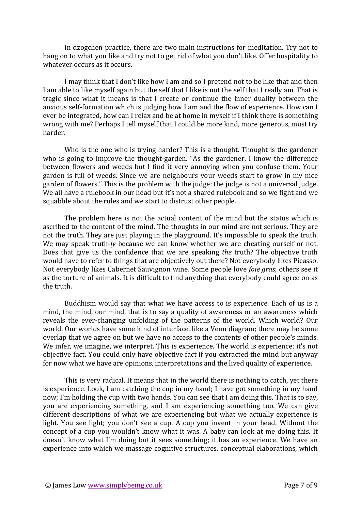In dzogchen practice, there are two main instructions for meditation. Try not to hang on to what you like and try not to get rid of what you don't like. Offer hospitality to whatever occurs as it occurs.

I may think that I don't like how I am and so I pretend not to be like that and then I am able to like myself again but the self that I like is not the self that I really am. That is tragic since what it means is that I create or continue the inner duality between the anxious self-formation which is judging how I am and the flow of experience. How can I ever be integrated, how can I relax and be at home in myself if I think there is something wrong with me? Perhaps I tell myself that I could be more kind, more generous, must try harder. 

Who is the one who is trying harder? This is a thought. Thought is the gardener who is going to improve the thought-garden. "As the gardener, I know the difference between flowers and weeds but I find it very annoying when you confuse them. Your garden is full of weeds. Since we are neighbours your weeds start to grow in my nice garden of flowers." This is the problem with the judge: the judge is not a universal judge. We all have a rulebook in our head but it's not a shared rulebook and so we fight and we squabble about the rules and we start to distrust other people.

The problem here is not the actual content of the mind but the status which is ascribed to the content of the mind. The thoughts in our mind are not serious. They are not the truth. They are just playing in the playground. It's impossible to speak the truth. We may speak truth-*ly* because we can know whether we are cheating ourself or not. Does that give us the confidence that we are speaking *the* truth? The objective truth would have to refer to things that are objectively out there? Not everybody likes Picasso. Not everybody likes Cabernet Sauvignon wine. Some people love *foie gras*; others see it as the torture of animals. It is difficult to find anything that everybody could agree on as the truth.

Buddhism would say that what we have access to is experience. Each of us is a mind, the mind, our mind, that is to say a quality of awareness or an awareness which reveals the ever-changing unfolding of the patterns of the world. Which world? Our world. Our worlds have some kind of interface, like a Venn diagram; there may be some overlap that we agree on but we have no access to the contents of other people's minds. We infer, we imagine, we interpret. This is experience. The world is experience; it's not objective fact. You could only have objective fact if you extracted the mind but anyway for now what we have are opinions, interpretations and the lived quality of experience.

This is very radical. It means that in the world there is nothing to catch, yet there is experience. Look, I am catching the cup in my hand; I have got something in my hand now; I'm holding the cup with two hands. You can see that I am doing this. That is to say, you are experiencing something, and I am experiencing something too. We can give different descriptions of what we are experiencing but what we actually experience is light. You see light; you don't see a cup. A cup you invent in your head. Without the concept of a cup you wouldn't know what it was. A baby can look at me doing this. It doesn't know what I'm doing but it sees something; it has an experience. We have an experience into which we massage cognitive structures, conceptual elaborations, which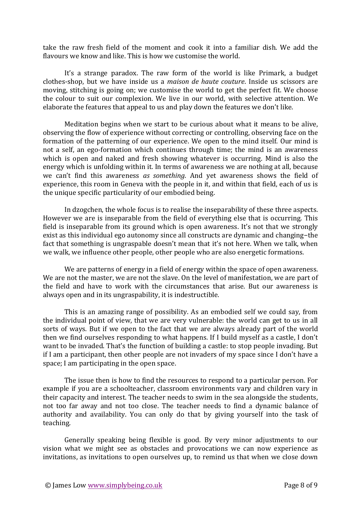take the raw fresh field of the moment and cook it into a familiar dish. We add the flavours we know and like. This is how we customise the world.

It's a strange paradox. The raw form of the world is like Primark, a budget clothes-shop, but we have inside us a *maison de haute couture*. Inside us scissors are moving, stitching is going on; we customise the world to get the perfect fit. We choose the colour to suit our complexion. We live in our world, with selective attention. We elaborate the features that appeal to us and play down the features we don't like.

Meditation begins when we start to be curious about what it means to be alive, observing the flow of experience without correcting or controlling, observing face on the formation of the patterning of our experience. We open to the mind itself. Our mind is not a self, an ego-formation which continues through time; the mind is an awareness which is open and naked and fresh showing whatever is occurring. Mind is also the energy which is unfolding within it. In terms of awareness we are nothing at all, because we can't find this awareness as something. And yet awareness shows the field of experience, this room in Geneva with the people in it, and within that field, each of us is the unique specific particularity of our embodied being.

In dzogchen, the whole focus is to realise the inseparability of these three aspects. However we are is inseparable from the field of everything else that is occurring. This field is inseparable from its ground which is open awareness. It's not that we strongly exist as this individual ego autonomy since all constructs are dynamic and changing-the fact that something is ungraspable doesn't mean that it's not here. When we talk, when we walk, we influence other people, other people who are also energetic formations.

We are patterns of energy in a field of energy within the space of open awareness. We are not the master, we are not the slave. On the level of manifestation, we are part of the field and have to work with the circumstances that arise. But our awareness is always open and in its ungraspability, it is indestructible.

This is an amazing range of possibility. As an embodied self we could say, from the individual point of view, that we are very vulnerable: the world can get to us in all sorts of ways. But if we open to the fact that we are always already part of the world then we find ourselves responding to what happens. If I build myself as a castle, I don't want to be invaded. That's the function of building a castle: to stop people invading. But if I am a participant, then other people are not invaders of my space since I don't have a space; I am participating in the open space.

The issue then is how to find the resources to respond to a particular person. For example if you are a schoolteacher, classroom environments vary and children vary in their capacity and interest. The teacher needs to swim in the sea alongside the students, not too far away and not too close. The teacher needs to find a dynamic balance of authority and availability. You can only do that by giving yourself into the task of teaching. 

Generally speaking being flexible is good. By very minor adjustments to our vision what we might see as obstacles and provocations we can now experience as invitations, as invitations to open ourselves up, to remind us that when we close down